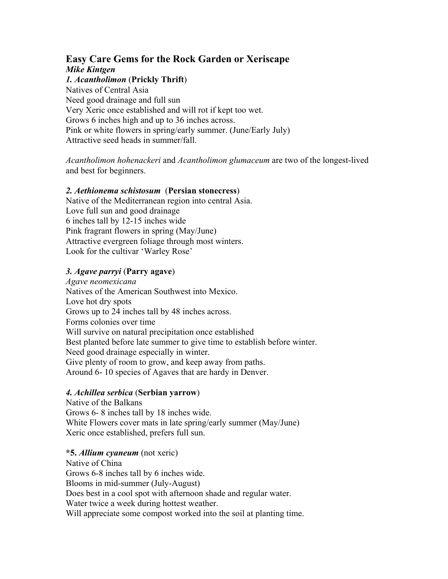# **Easy Care Gems for the Rock Garden or Xeriscape**  *Mike Kintgen*

#### *1. Acantholimon* (**Prickly Thrift**)

Natives of Central Asia Need good drainage and full sun Very Xeric once established and will rot if kept too wet. Grows 6 inches high and up to 36 inches across. Pink or white flowers in spring/early summer. (June/Early July) Attractive seed heads in summer/fall.

*Acantholimon hohenackeri* and *Acantholimon glumaceum* are two of the longest-lived and best for beginners.

## *2. Aethionema schistosum* (**Persian stonecress**)

Native of the Mediterranean region into central Asia. Love full sun and good drainage 6 inches tall by 12-15 inches wide Pink fragrant flowers in spring (May/June) Attractive evergreen foliage through most winters. Look for the cultivar 'Warley Rose'

## *3. Agave parryi* (**Parry agave**)

*Agave neomexicana*  Natives of the American Southwest into Mexico. Love hot dry spots Grows up to 24 inches tall by 48 inches across. Forms colonies over time Will survive on natural precipitation once established Best planted before late summer to give time to establish before winter. Need good drainage especially in winter. Give plenty of room to grow, and keep away from paths. Around 6- 10 species of Agaves that are hardy in Denver.

# *4. Achillea serbica* (**Serbian yarrow**)

Native of the Balkans Grows 6- 8 inches tall by 18 inches wide. White Flowers cover mats in late spring/early summer (May/June) Xeric once established, prefers full sun.

#### **\*5.** *Allium cyaneum* (not xeric)

Native of China Grows 6-8 inches tall by 6 inches wide. Blooms in mid-summer (July-August) Does best in a cool spot with afternoon shade and regular water. Water twice a week during hottest weather. Will appreciate some compost worked into the soil at planting time.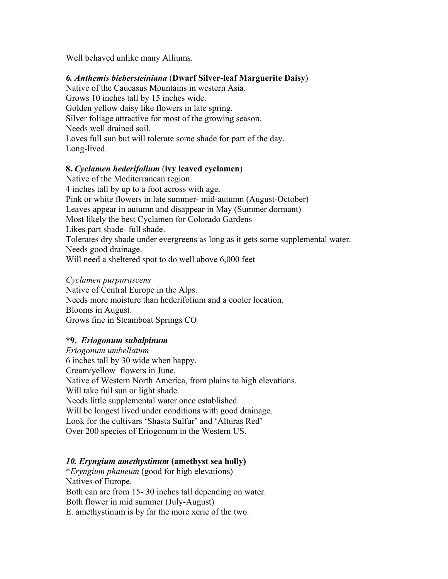Well behaved unlike many Alliums.

## *6. Anthemis biebersteiniana* (**Dwarf Silver-leaf Marguerite Daisy**)

Native of the Caucasus Mountains in western Asia. Grows 10 inches tall by 15 inches wide. Golden yellow daisy like flowers in late spring. Silver foliage attractive for most of the growing season. Needs well drained soil. Loves full sun but will tolerate some shade for part of the day. Long-lived.

#### **8.** *Cyclamen hederifolium* (**ivy leaved cyclamen**)

Native of the Mediterranean region. 4 inches tall by up to a foot across with age. Pink or white flowers in late summer- mid-autumn (August-October) Leaves appear in autumn and disappear in May (Summer dormant) Most likely the best Cyclamen for Colorado Gardens Likes part shade- full shade. Tolerates dry shade under evergreens as long as it gets some supplemental water. Needs good drainage. Will need a sheltered spot to do well above 6,000 feet

#### *Cyclamen purpurascens*

Native of Central Europe in the Alps. Needs more moisture than hederifolium and a cooler location. Blooms in August. Grows fine in Steamboat Springs CO

# **\*9.** *Eriogonum subalpinum*

*Eriogonum umbellatum*  6 inches tall by 30 wide when happy. Cream/yellow flowers in June. Native of Western North America, from plains to high elevations. Will take full sun or light shade. Needs little supplemental water once established Will be longest lived under conditions with good drainage. Look for the cultivars 'Shasta Sulfur' and 'Alturas Red' Over 200 species of Eriogonum in the Western US.

# *10. Eryngium amethystinum* **(amethyst sea holly)**

\**Eryngium phaneum* (good for high elevations) Natives of Europe. Both can are from 15- 30 inches tall depending on water. Both flower in mid summer (July-August)

E. amethystinum is by far the more xeric of the two.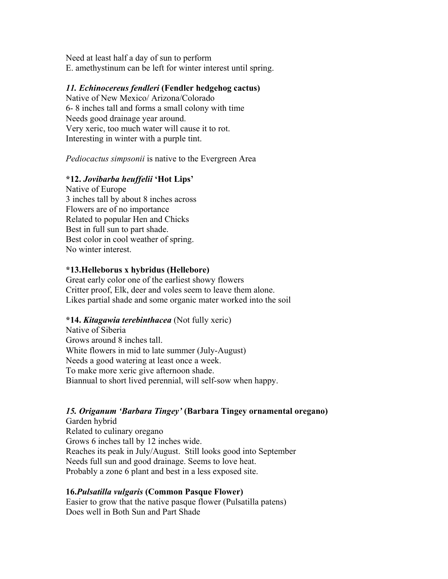Need at least half a day of sun to perform E. amethystinum can be left for winter interest until spring.

## *11. Echinocereus fendleri* **(Fendler hedgehog cactus)**

Native of New Mexico/ Arizona/Colorado 6- 8 inches tall and forms a small colony with time Needs good drainage year around. Very xeric, too much water will cause it to rot. Interesting in winter with a purple tint.

*Pediocactus simpsonii* is native to the Evergreen Area

# **\*12.** *Jovibarba heuffelii* **'Hot Lips'**

Native of Europe 3 inches tall by about 8 inches across Flowers are of no importance Related to popular Hen and Chicks Best in full sun to part shade. Best color in cool weather of spring. No winter interest.

## **\*13.Helleborus x hybridus (Hellebore)**

Great early color one of the earliest showy flowers Critter proof, Elk, deer and voles seem to leave them alone. Likes partial shade and some organic mater worked into the soil

#### **\*14.** *Kitagawia terebinthacea* (Not fully xeric)

Native of Siberia Grows around 8 inches tall. White flowers in mid to late summer (July-August) Needs a good watering at least once a week. To make more xeric give afternoon shade. Biannual to short lived perennial, will self-sow when happy.

# *15. Origanum 'Barbara Tingey'* **(Barbara Tingey ornamental oregano)**

Garden hybrid Related to culinary oregano Grows 6 inches tall by 12 inches wide. Reaches its peak in July/August. Still looks good into September Needs full sun and good drainage. Seems to love heat. Probably a zone 6 plant and best in a less exposed site.

# **16.***Pulsatilla vulgaris* **(Common Pasque Flower)**

Easier to grow that the native pasque flower (Pulsatilla patens) Does well in Both Sun and Part Shade